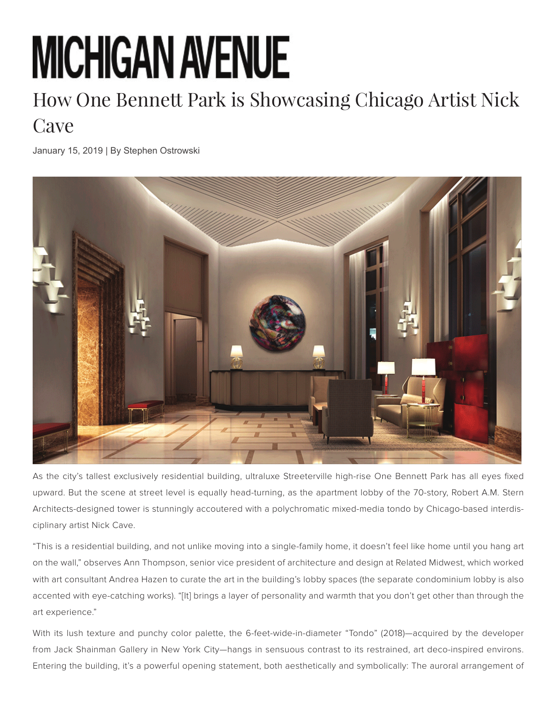## **MICHIGAN AVENUE**

## How One Bennett Park is Showcasing Chicago Artist Nick **Cave**

January 15, 2019 | By Stephen Ostrowski



As the city's tallest exclusively residential building, ultraluxe Streeterville high-rise One Bennett Park has all eyes fixed upward. But the scene at street level is equally head-turning, as the apartment lobby of the 70-story, Robert A.M. Stern Architects-designed tower is stunningly accoutered with a polychromatic mixed-media tondo by Chicago-based interdisciplinary artist Nick Cave.

"This is a residential building, and not unlike moving into a single-family home, it doesn't feel like home until you hang art on the wall," observes Ann Thompson, senior vice president of architecture and design at Related Midwest, which worked with art consultant Andrea Hazen to curate the art in the building's lobby spaces (the separate condominium lobby is also accented with eye-catching works). "[It] brings a layer of personality and warmth that you don't get other than through the art experience."

With its lush texture and punchy color palette, the 6-feet-wide-in-diameter "Tondo" (2018)—acquired by the developer from Jack Shainman Gallery in New York City—hangs in sensuous contrast to its restrained, art deco-inspired environs. Entering the building, it's a powerful opening statement, both aesthetically and symbolically: The auroral arrangement of